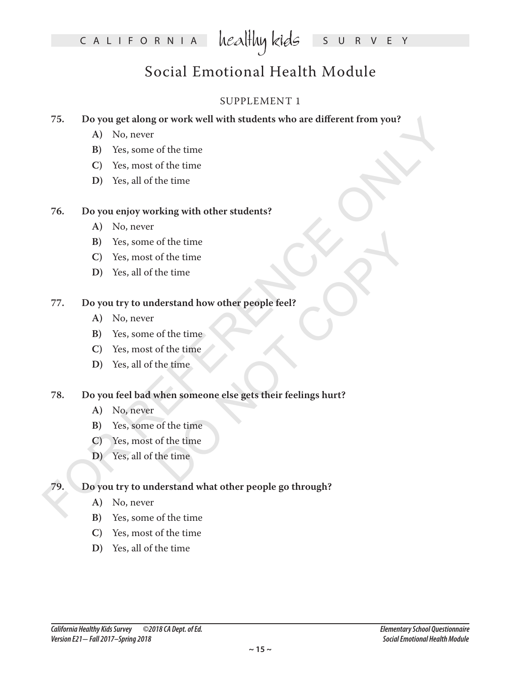## Social Emotional Health Module

### SUPPLEMENT 1

### **75. Do you get along or work well with students who are different from you?**

- **A)** No, never
- **B)** Yes, some of the time
- **C)** Yes, most of the time
- **D)** Yes, all of the time

### **76. Do you enjoy working with other students?**

- **A)** No, never
- **B)** Yes, some of the time
- **C)** Yes, most of the time
- **D)** Yes, all of the time

### **77. Do you try to understand how other people feel?**

- **A)** No, never
- **B)** Yes, some of the time
- **C)** Yes, most of the time
- **D)** Yes, all of the time

# of the time<br>the time<br>the time<br>derstand how other people feel?<br>of the time<br>time<br>when someone else gets their feelings hurt?<br>of the time<br>of the time<br>the time<br>the time<br>the time **78. Do you feel bad when someone else gets their feelings hurt?**

- **A)** No, never
- **B)** Yes, some of the time
- **C)** Yes, most of the time
- **D)** Yes, all of the time

# 75. Do you get along or work well with students who are different from you?<br>
A) No, never<br>
B) Yes, some of the time<br>
C) Yes, most of the time<br>
D) Yes, all of the time<br>
B) Yes, some of the time<br>
C) Yes, most of the time<br>
C **79. Do you try to understand what other people go through?**

- **A)** No, never
- **B)** Yes, some of the time
- **C)** Yes, most of the time
- **D)** Yes, all of the time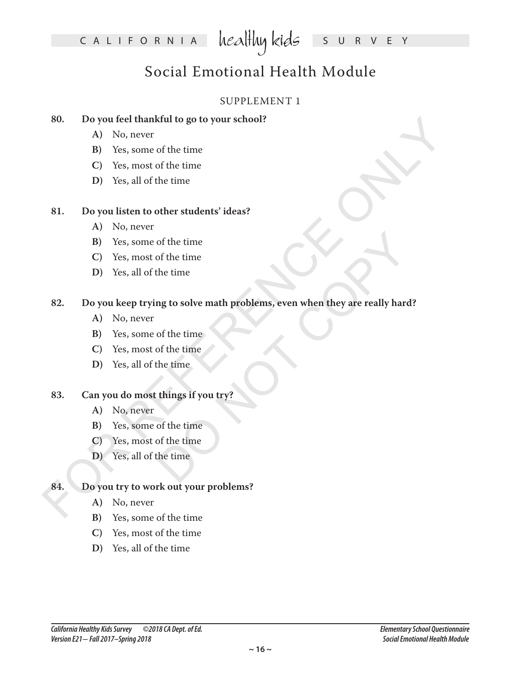## Social Emotional Health Module

### SUPPLEMENT 1

### **80. Do you feel thankful to go to your school?**

- **A)** No, never
- **B)** Yes, some of the time
- **C)** Yes, most of the time
- **D)** Yes, all of the time

### **81. Do you listen to other students' ideas?**

- **A)** No, never
- **B)** Yes, some of the time
- **C)** Yes, most of the time
- **D)** Yes, all of the time

# For protiet thankful to go to your school?<br>
A) No, never<br>
B) Yes, some of the time<br>
C) Yes, most of the time<br>
D) Yes, all of the time<br>
B) Yes, some of the time<br>
C) Yes, most of the time<br>
C) Yes, most of the time<br>
D) Yes, of the time<br>the time<br>the time<br>of the time<br>of the time<br>things if you try?<br>of the time<br>of the time<br>things if you try?<br>of the time<br>the time<br>of the time<br>of the time<br>of the time<br>of the time **82. Do you keep trying to solve math problems, even when they are really hard?**

- **A)** No, never
- **B)** Yes, some of the time
- **C)** Yes, most of the time
- **D)** Yes, all of the time

### **83. Can you do most things if you try?**

- **A)** No, never
- **B)** Yes, some of the time
- **C)** Yes, most of the time
- **D)** Yes, all of the time

### **84. Do you try to work out your problems?**

- **A)** No, never
- **B)** Yes, some of the time
- **C)** Yes, most of the time
- **D)** Yes, all of the time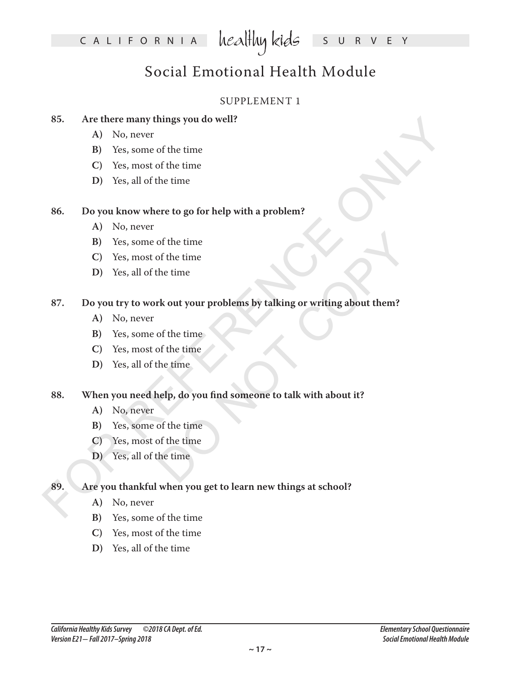## Social Emotional Health Module

### SUPPLEMENT 1

### **85. Are there many things you do well?**

- **A)** No, never
- **B)** Yes, some of the time
- **C)** Yes, most of the time
- **D)** Yes, all of the time

### **86. Do you know where to go for help with a problem?**

- **A)** No, never
- **B)** Yes, some of the time
- **C)** Yes, most of the time
- **D)** Yes, all of the time

# 85. Are there many things you do well?<br>
A) No, never<br>
B) Yes, some of the time<br>
C) Yes, most of the time<br>
D) Yes, all of the time<br>
B) Yes, some of the time<br>
C) Yes, most of the time<br>
C) Yes, most of the time<br>
D) Yes, all o of the time<br>the time<br>the time<br>the time<br>of the time<br>of the time<br>time<br>the time<br>of the time<br>of the time<br>of the time<br>of the time<br>of the time<br>of the time<br>of the time<br>of the time<br>of the time<br>of the time<br>of the time<br>of the time<br>o **87. Do you try to work out your problems by talking or writing about them?**

- **A)** No, never
- **B)** Yes, some of the time
- **C)** Yes, most of the time
- **D)** Yes, all of the time

### **88. When you need help, do you find someone to talk with about it?**

- **A)** No, never
- **B)** Yes, some of the time
- **C)** Yes, most of the time
- **D)** Yes, all of the time

### **89. Are you thankful when you get to learn new things at school?**

- **A)** No, never
- **B)** Yes, some of the time
- **C)** Yes, most of the time
- **D)** Yes, all of the time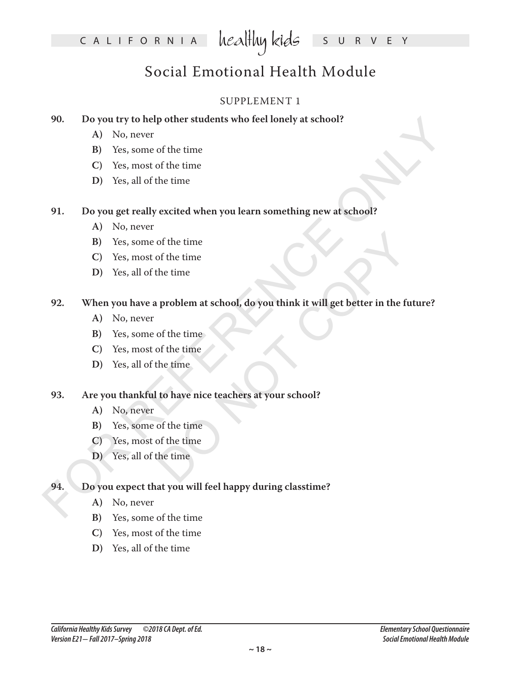## Social Emotional Health Module

### SUPPLEMENT 1

### **90. Do you try to help other students who feel lonely at school?**

- **A)** No, never
- **B)** Yes, some of the time
- **C)** Yes, most of the time
- **D)** Yes, all of the time

### **91. Do you get really excited when you learn something new at school?**

- **A)** No, never
- **B)** Yes, some of the time
- **C)** Yes, most of the time
- **D)** Yes, all of the time

# 90. Do pour try to help other students who feel lonely at school?<br>
A) No, never<br>
B) Yes, some of the time<br>
C) Yes, most of the time<br>
D) Yes, all of the time<br>
B) Yes, some of the time<br>
C) Yes, most of the time<br>
C) Yes, mos of the time<br>the time<br>the time<br>problem at school, do you think it will get better in the future<br>of the time<br>to have nice teachers at your school?<br>of the time<br>of the time<br>the time<br>the time **92. When you have a problem at school, do you think it will get better in the future?**

- **A)** No, never
- **B)** Yes, some of the time
- **C)** Yes, most of the time
- **D)** Yes, all of the time

### **93. Are you thankful to have nice teachers at your school?**

- **A)** No, never
- **B)** Yes, some of the time
- **C)** Yes, most of the time
- **D)** Yes, all of the time

### **94. Do you expect that you will feel happy during classtime?**

- **A)** No, never
- **B)** Yes, some of the time
- **C)** Yes, most of the time
- **D)** Yes, all of the time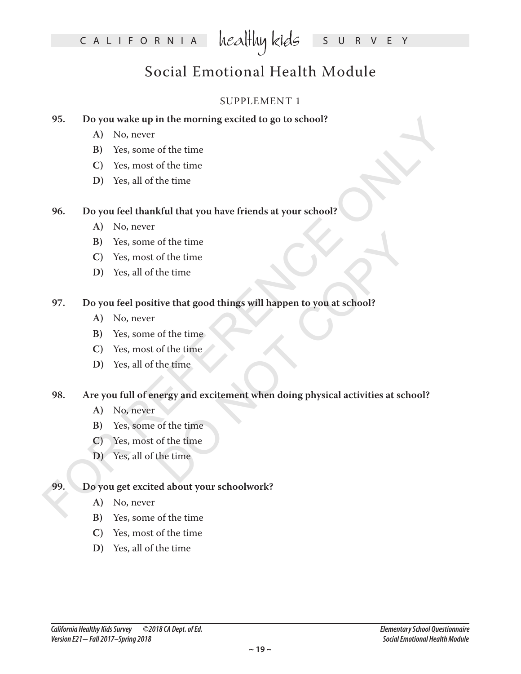## Social Emotional Health Module

### SUPPLEMENT 1

### **95. Do you wake up in the morning excited to go to school?**

- **A)** No, never
- **B)** Yes, some of the time
- **C)** Yes, most of the time
- **D)** Yes, all of the time

### **96. Do you feel thankful that you have friends at your school?**

- **A)** No, never
- **B)** Yes, some of the time
- **C)** Yes, most of the time
- **D)** Yes, all of the time

### **97. Do you feel positive that good things will happen to you at school?**

- **A)** No, never
- **B)** Yes, some of the time
- **C)** Yes, most of the time
- **D)** Yes, all of the time

# 95. Do you weake up in the morning excited to go to school?<br>
A) No, never<br>
B) Yes, some of the time<br>
C) Yes, most of the time<br>
D) Yes, all of the time<br>
B) Yes, some of the time<br>
C) Yes, most of the time<br>
C) Yes, most of t of the time<br>of the time<br>the time<br>the time<br>of the time<br>of the time<br>the time<br>of the time<br>of the time<br>of the time<br>of the time<br>of the time<br>of the time<br>of the time<br>of the time<br>of the time<br>of the time<br>of the time<br>of the time<br>of **98. Are you full of energy and excitement when doing physical activities at school?**

- **A)** No, never
- **B)** Yes, some of the time
- **C)** Yes, most of the time
- **D)** Yes, all of the time

### **99. Do you get excited about your schoolwork?**

- **A)** No, never
- **B)** Yes, some of the time
- **C)** Yes, most of the time
- **D)** Yes, all of the time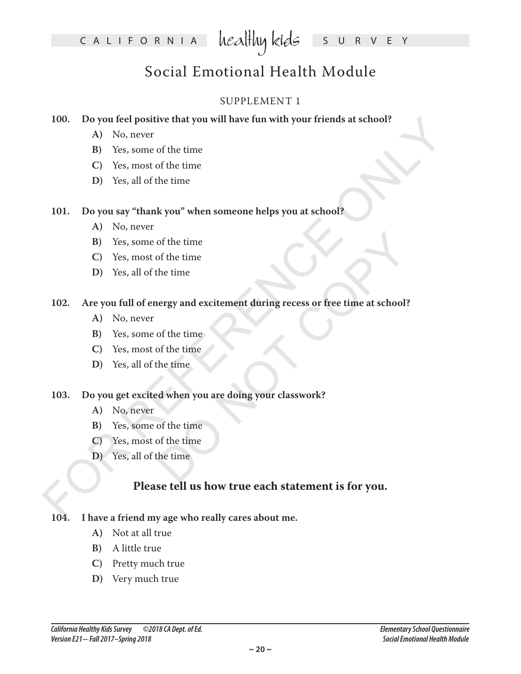## Social Emotional Health Module

### SUPPLEMENT 1

### **100. Do you feel positive that you will have fun with your friends at school?**

- **A)** No, never
- **B)** Yes, some of the time
- **C)** Yes, most of the time
- **D)** Yes, all of the time

### **101. Do you say "thank you" when someone helps you at school?**

- **A)** No, never
- **B)** Yes, some of the time
- **C)** Yes, most of the time
- **D)** Yes, all of the time

# 100. Do you feel positive that you will have fun with your friends at school?<br>
A) No, never<br>
B) Yes, some of the time<br>
C) Yes, most of the time<br>
D) Yes, all of the time<br>
B) Yes, some of the time<br>
C) Yes, most of the time<br> of the time<br>the time<br>the time<br>ergy and excitement during recess or free time at school?<br>of the time<br>the time<br>d when you are doing your classwork?<br>of the time<br>of the time<br>time<br>the time **102. Are you full of energy and excitement during recess or free time at school?**

- **A)** No, never
- **B)** Yes, some of the time
- **C)** Yes, most of the time
- **D)** Yes, all of the time

### **103. Do you get excited when you are doing your classwork?**

- **A)** No, never
- **B)** Yes, some of the time
- **C)** Yes, most of the time
- **D)** Yes, all of the time

### **Please tell us how true each statement is for you.**

### **104. I have a friend my age who really cares about me.**

- **A)** Not at all true
- **B)** A little true
- **C)** Pretty much true
- **D)** Very much true